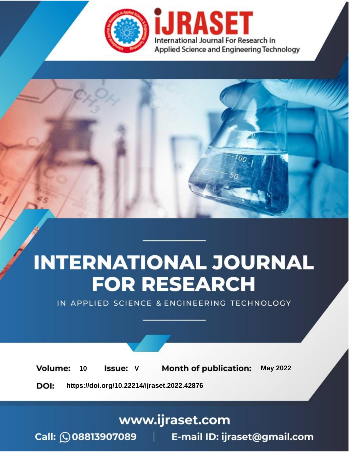

# **INTERNATIONAL JOURNAL FOR RESEARCH**

IN APPLIED SCIENCE & ENGINEERING TECHNOLOGY

Volume: **Month of publication: May 2022** 10 **Issue: V** 

DOI: https://doi.org/10.22214/ijraset.2022.42876

www.ijraset.com

Call: 008813907089 | E-mail ID: ijraset@gmail.com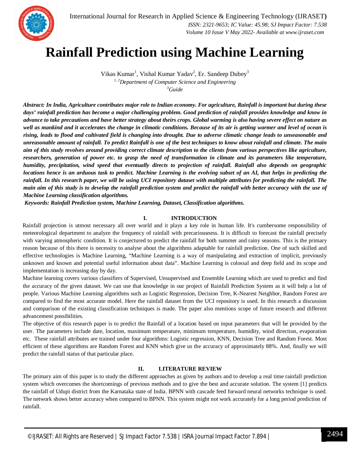

International Journal for Research in Applied Science & Engineering Technology (IJRASET**)**  *ISSN: 2321-9653; IC Value: 45.98; SJ Impact Factor: 7.538*

 *Volume 10 Issue V May 2022- Available at www.ijraset.com*

# **Rainfall Prediction using Machine Learning**

Vikas Kumar<sup>1</sup>, Vishal Kumar Yadav<sup>2</sup>, Er. Sandeep Dubey<sup>3</sup> *1, 2Department of Computer Science and Engineering*

*<sup>3</sup>Guide*

*Abstract: In India, Agriculture contributes major role to Indian economy. For agriculture, Rainfall is important but during these days' rainfall prediction has become a major challenging problem. Good prediction of rainfall provides knowledge and know in advance to take precautions and have better strategy about theirs crops. Global warming is also having severe effect on nature as well as mankind and it accelerates the change in climatic conditions. Because of its air is getting warmer and level of ocean is rising, leads to flood and cultivated field is changing into drought. Due to adverse climatic change leads to unseasonable and unreasonable amount of rainfall. To predict Rainfall is one of the best techniques to know about rainfall and climate. The main aim of this study revolves around providing correct climate description to the clients from various perspectives like agriculture, researchers, generation of power etc. to grasp the need of transformation in climate and its parameters like temperature, humidity, precipitation, wind speed that eventually directs to projection of rainfall. Rainfall also depends on geographic locations hence is an arduous task to predict. Machine Learning is the evolving subset of an AI, that helps in predicting the rainfall. In this research paper, we will be using UCI repository dataset with multiple attributes for predicting the rainfall. The main aim of this study is to develop the rainfall prediction system and predict the rainfall with better accuracy with the use of Machine Learning classification algorithms.* 

*Keywords: Rainfall Prediction system, Machine Learning, Dataset, Classification algorithms.*

# **I. INTRODUCTION**

Rainfall projection is utmost necessary all over world and it plays a key role in human life. It's cumbersome responsibility of meteorological department to analyze the frequency of rainfall with precariousness. It is difficult to forecast the rainfall precisely with varying atmospheric condition. It is conjectured to predict the rainfall for both summer and rainy seasons. This is the primary reason because of this there is necessity to analyse about the algorithms adaptable for rainfall prediction. One of such skilled and effective technologies is Machine Learning, "Machine Learning is a way of manipulating and extraction of implicit, previously unknown and known and potential useful information about data". Machine Learning is colossal and deep field and its scope and implementation is increasing day by day.

Machine learning covers various classifiers of Supervised, Unsupervised and Ensemble Learning which are used to predict and find the accuracy of the given dataset. We can use that knowledge in our project of Rainfall Prediction System as it will help a lot of people. Various Machine Learning algorithms such as Logistic Regression, Decision Tree, K-Nearest Neighbor, Random Forest are compared to find the most accurate model. Here the rainfall dataset from the UCI repository is used. In this research a discussion and comparison of the existing classification techniques is made. The paper also mentions scope of future research and different advancement possibilities.

The objective of this research paper is to predict the Rainfall of a location based on input parameters that will be provided by the user. The parameters include date, location, maximum temperature, minimum temperature, humidity, wind direction, evaporation etc. These rainfall attributes are trained under four algorithms: Logistic regression, KNN, Decision Tree and Random Forest. Most efficient of these algorithms are Random Forest and KNN which give us the accuracy of approximately 88%. And, finally we will predict the rainfall status of that particular place.

# **II. LITERATURE REVIEW**

The primary aim of this paper is to study the different approaches as given by authors and to develop a real time rainfall prediction system which overcomes the shortcomings of previous methods and to give the best and accurate solution. The system [1] predicts the rainfall of Udupi district from the Karnataka state of India. BPNN with cascade feed forward neural networks technique is used. The network shows better accuracy when compared to BPNN. This system might not work accurately for a long period prediction of rainfall.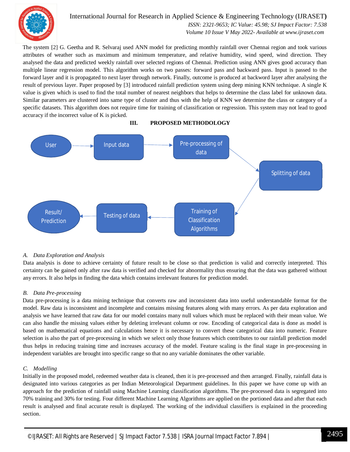

International Journal for Research in Applied Science & Engineering Technology (IJRASET**)**  *ISSN: 2321-9653; IC Value: 45.98; SJ Impact Factor: 7.538*

 *Volume 10 Issue V May 2022- Available at www.ijraset.com*

The system [2] G. Geetha and R. Selvaraj used ANN model for predicting monthly rainfall over Chennai region and took various attributes of weather such as maximum and minimum temperature, and relative humidity, wind speed, wind direction. They analysed the data and predicted weekly rainfall over selected regions of Chennai. Prediction using ANN gives good accuracy than multiple linear regression model. This algorithm works on two passes: forward pass and backward pass. Input is passed to the forward layer and it is propagated to next layer through network. Finally, outcome is produced at backword layer after analysing the result of previous layer. Paper proposed by [3] introduced rainfall prediction system using deep mining KNN technique. A single K value is given which is used to find the total number of nearest neighbors that helps to determine the class label for unknown data. Similar parameters are clustered into same type of cluster and thus with the help of KNN we determine the class or category of a specific datasets. This algorithm does not require time for training of classification or regression. This system may not lead to good accuracy if the incorrect value of K is picked.



**III. PROPOSED METHODOLOGY**

# *A. Data Exploration and Analysis*

Data analysis is done to achieve certainty of future result to be close so that prediction is valid and correctly interpreted. This certainty can be gained only after raw data is verified and checked for abnormality thus ensuring that the data was gathered without any errors. It also helps in finding the data which contains irrelevant features for prediction model.

# *B. Data Pre-processing*

Data pre-processing is a data mining technique that converts raw and inconsistent data into useful understandable format for the model. Raw data is inconsistent and incomplete and contains missing features along with many errors. As per data exploration and analysis we have learned that raw data for our model contains many null values which must be replaced with their mean value. We can also handle the missing values either by deleting irrelevant column or row. Encoding of categorical data is done as model is based on mathematical equations and calculations hence it is necessary to convert these categorical data into numeric. Feature selection is also the part of pre-processing in which we select only those features which contributes to our rainfall prediction model thus helps in reducing training time and increases accuracy of the model. Feature scaling is the final stage in pre-processing in independent variables are brought into specific range so that no any variable dominates the other variable.

# *C. Modelling*

Initially in the proposed model, redeemed weather data is cleaned, then it is pre-processed and then arranged. Finally, rainfall data is designated into various categories as per Indian Meteorological Department guidelines. In this paper we have come up with an approach for the prediction of rainfall using Machine Learning classification algorithms. The pre-processed data is segregated into 70% training and 30% for testing. Four different Machine Learning Algorithms are applied on the portioned data and after that each result is analysed and final accurate result is displayed. The working of the individual classifiers is explained in the proceeding section.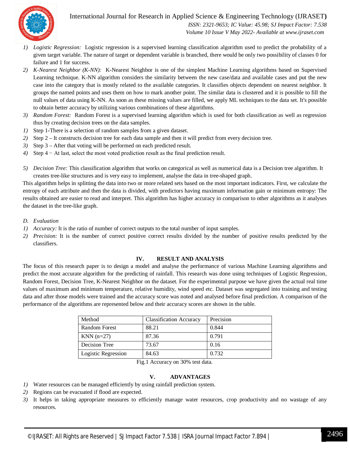# International Journal for Research in Applied Science & Engineering Technology (IJRASET**)**



 *ISSN: 2321-9653; IC Value: 45.98; SJ Impact Factor: 7.538 Volume 10 Issue V May 2022- Available at www.ijraset.com*

- *1) Logistic Regression:* Logistic regression is a supervised learning classification algorithm used to predict the probability of a given target variable. The nature of target or dependent variable is branched, there would be only two possibility of classes 0 for failure and 1 for success.
- *2) K-Nearest Neighbor (K-NN):* K-Nearest Neighbor is one of the simplest Machine Learning algorithms based on Supervised Learning technique. K-NN algorithm considers the similarity between the new case/data and available cases and put the new case into the category that is mostly related to the available categories. It classifies objects dependent on nearest neighbor. It groups the named points and uses them on how to mark another point. The similar data is clustered and it is possible to fill the null values of data using K-NN. As soon as these missing values are filled, we apply ML techniques to the data set. It's possible to obtain better accuracy by utilizing various combinations of these algorithms.
- *3) Random Forest:* Random Forest is a supervised learning algorithm which is used for both classification as well as regression thus by creating decision trees on the data samples.
- *1)* Step 1**-**There is a selection of random samples from a given dataset.
- *2)* Step 2 It constructs decision tree for each data sample and then it will predict from every decision tree.
- *3)* Step 3 After that voting will be performed on each predicted result.
- *4*) Step 4 − At last, select the most voted prediction result as the final prediction result.
- *5) Decision Tree:* This classification algorithm that works on categorical as well as numerical data is a Decision tree algorithm. It creates tree-like structures and is very easy to implement, analyse the data in tree-shaped graph.

This algorithm helps in splitting the data into two or more related sets based on the most important indicators. First, we calculate the entropy of each attribute and then the data is divided, with predictors having maximum information gain or minimum entropy: The results obtained are easier to read and interpret. This algorithm has higher accuracy in comparison to other algorithms as it analyses the dataset in the tree-like graph.

- *D. Evaluation*
- *1) Accuracy:* It is the ratio of number of correct outputs to the total number of input samples.
- *2) Precision:* It is the number of correct positive correct results divided by the number of positive results predicted by the classifiers.

### **IV. RESULT AND ANALYSIS**

The focus of this research paper is to design a model and analyse the performance of various Machine Learning algorithms and predict the most accurate algorithm for the predicting of rainfall. This research was done using techniques of Logistic Regression, Random Forest, Decision Tree, K-Nearest Neighbor on the dataset. For the experimental purpose we have given the actual real time values of maximum and minimum temperature, relative humidity, wind speed etc. Dataset was segregated into training and testing data and after those models were trained and the accuracy score was noted and analysed before final prediction. A comparison of the performance of the algorithms are represented below and their accuracy scores are shown in the table.

| Method               | <b>Classification Accuracy</b> | Precision |
|----------------------|--------------------------------|-----------|
| <b>Random Forest</b> | 88.21                          | 0.844     |
| KNN $(n=27)$         | 87.36                          | 0.791     |
| Decision Tree        | 73.67                          | 0.16      |
| Logistic Regression  | 84.63                          | 0.732     |

Fig.1 Accuracy on 30% test data.

# **V. ADVANTAGES**

- *1)* Water resources can be managed efficiently by using rainfall prediction system.
- *2)* Regions can be evacuated if flood are expected.
- *3)* It helps in taking appropriate measures to efficiently manage water resources, crop productivity and no wastage of any resources.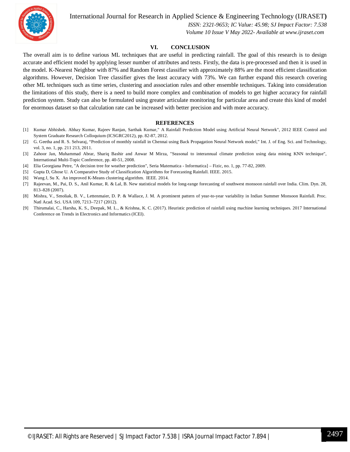International Journal for Research in Applied Science & Engineering Technology (IJRASET**)**



 *ISSN: 2321-9653; IC Value: 45.98; SJ Impact Factor: 7.538 Volume 10 Issue V May 2022- Available at www.ijraset.com*

### **VI. CONCLUSION**

The overall aim is to define various ML techniques that are useful in predicting rainfall. The goal of this research is to design accurate and efficient model by applying lesser number of attributes and tests. Firstly, the data is pre-processed and then it is used in the model. K-Nearest Neighbor with 87% and Random Forest classifier with approximately 88% are the most efficient classification algorithms. However, Decision Tree classifier gives the least accuracy with 73%. We can further expand this research covering other ML techniques such as time series, clustering and association rules and other ensemble techniques. Taking into consideration the limitations of this study, there is a need to build more complex and combination of models to get higher accuracy for rainfall prediction system. Study can also be formulated using greater articulate monitoring for particular area and create this kind of model for enormous dataset so that calculation rate can be increased with better precision and with more accuracy.

#### **REFERENCES**

- [1] Kumar Abhishek. Abhay Kumar, Rajeev Ranjan, Sarthak Kumar," A Rainfall Prediction Model using Artificial Neural Network", 2012 IEEE Control and System Graduate Research Colloquium (ICSGRC2012), pp. 82-87, 2012.
- [2] G. Geetha and R. S. Selvaraj, "Prediction of monthly rainfall in Chennai using Back Propagation Neural Network model," Int. J. of Eng. Sci. and Technology, vol. 3, no. 1, pp. 211 213, 2011.
- [3] Zahoor Jan, Muhammad Abrar, Shariq Bashir and Anwar M Mirza, "Seasonal to interannual climate prediction using data mining KNN technique", International Multi-Topic Conference, pp. 40-51, 2008.
- [4] Elia Georgiana Petre, "A decision tree for weather prediction", Seria Matematica Informatica] Fizic, no. 1, pp. 77-82, 2009.
- [5] Gupta D, Ghose U. A Comparative Study of Classification Algorithms for Forecasting Rainfall. IEEE. 2015.
- [6] Wang J, Su X. An improved K-Means clustering algorithm. IEEE. 2014.
- [7] Rajeevan, M., Pai, D. S., Anil Kumar, R. & Lal, B. New statistical models for long-range forecasting of southwest monsoon rainfall over India. Clim. Dyn. 28, 813–828 (2007).
- [8] Mishra, V., Smoliak, B. V., Lettenmaier, D. P. & Wallace, J. M. A prominent pattern of year-to-year variability in Indian Summer Monsoon Rainfall. Proc. Natl Acad. Sci. USA 109, 7213–7217 (2012).
- [9] Thirumalai, C., Harsha, K. S., Deepak, M. L., & Krishna, K. C. (2017). Heuristic prediction of rainfall using machine learning techniques. 2017 International Conference on Trends in Electronics and Informatics (ICEI).